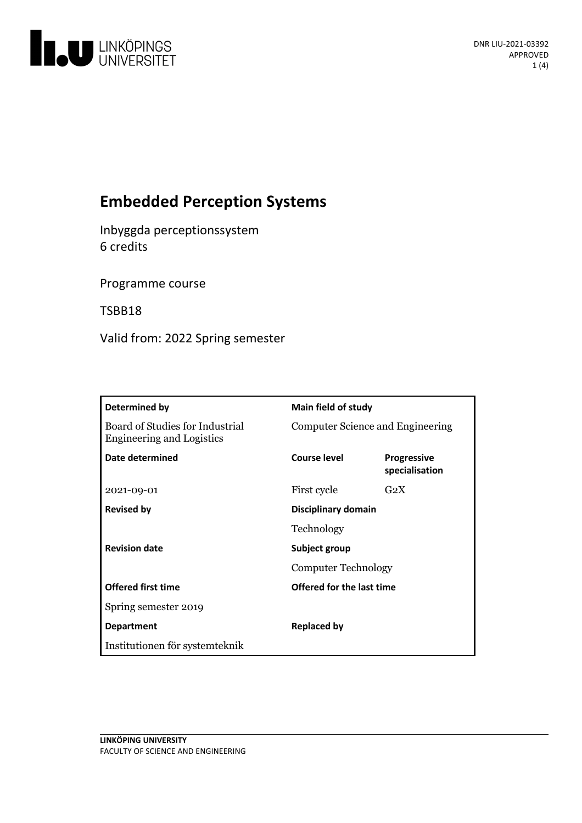

# **Embedded Perception Systems**

Inbyggda perceptionssystem 6 credits

Programme course

TSBB18

Valid from: 2022 Spring semester

| <b>Determined by</b>                                                | <b>Main field of study</b>                  |                                      |
|---------------------------------------------------------------------|---------------------------------------------|--------------------------------------|
| Board of Studies for Industrial<br><b>Engineering and Logistics</b> | Computer Science and Engineering            |                                      |
| Date determined                                                     | Course level                                | <b>Progressive</b><br>specialisation |
| 2021-09-01                                                          | First cycle                                 | G <sub>2</sub> X                     |
| <b>Revised by</b>                                                   | Disciplinary domain<br>Technology           |                                      |
|                                                                     |                                             |                                      |
| <b>Revision date</b>                                                | Subject group<br><b>Computer Technology</b> |                                      |
|                                                                     |                                             |                                      |
| <b>Offered first time</b>                                           | Offered for the last time                   |                                      |
| Spring semester 2019                                                |                                             |                                      |
| <b>Department</b>                                                   | <b>Replaced by</b>                          |                                      |
| Institutionen för systemteknik                                      |                                             |                                      |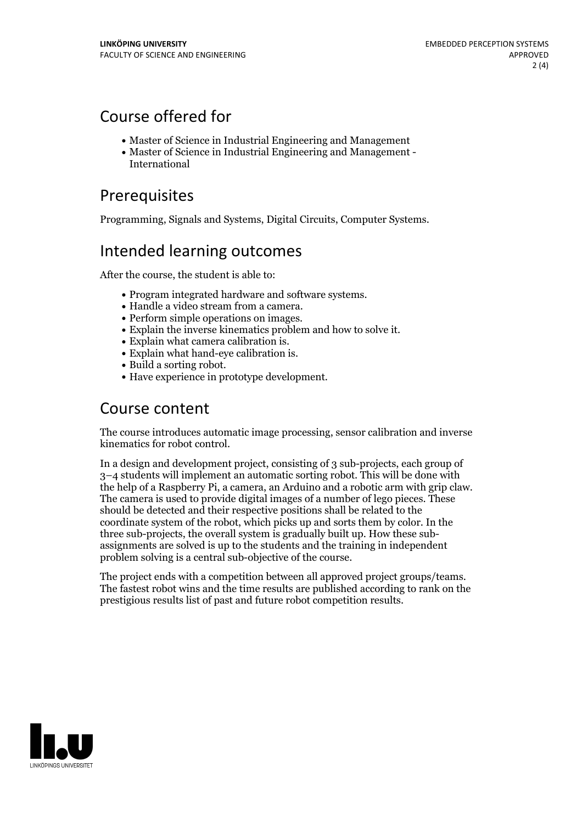# Course offered for

- Master of Science in Industrial Engineering and Management
- Master of Science in Industrial Engineering and Management International

# Prerequisites

Programming, Signals and Systems, Digital Circuits, Computer Systems.

# Intended learning outcomes

After the course, the student is able to:

- 
- 
- 
- Program integrated hardware and software systems.<br>
Handle a video stream from a camera.<br>
Perform simple operations on images.<br>
Explain the inverse kinematics problem and how to solve it.<br>
Explain what camera cal
- 
- 
- 
- 

### Course content

The course introduces automatic image processing, sensor calibration and inverse kinematics for robot control.

In a design and development project, consisting of 3 sub-projects, each group of 3–4 students will implement an automatic sorting robot. This will be done with the help of a Raspberry Pi, a camera, an Arduino and a robotic arm with grip claw. The camera is used to provide digital images of a number of lego pieces. These should be detected and their respective positions shall be related to the coordinate system of the robot, which picks up and sorts them by color. In the three sub-projects, the overall system is gradually built up. How these sub- assignments are solved is up to the students and the training in independent problem solving is a central sub-objective of the course.

The project ends with <sup>a</sup> competition between all approved project groups/teams. The fastest robot wins and the time results are published according to rank on the prestigious results list of past and future robot competition results.

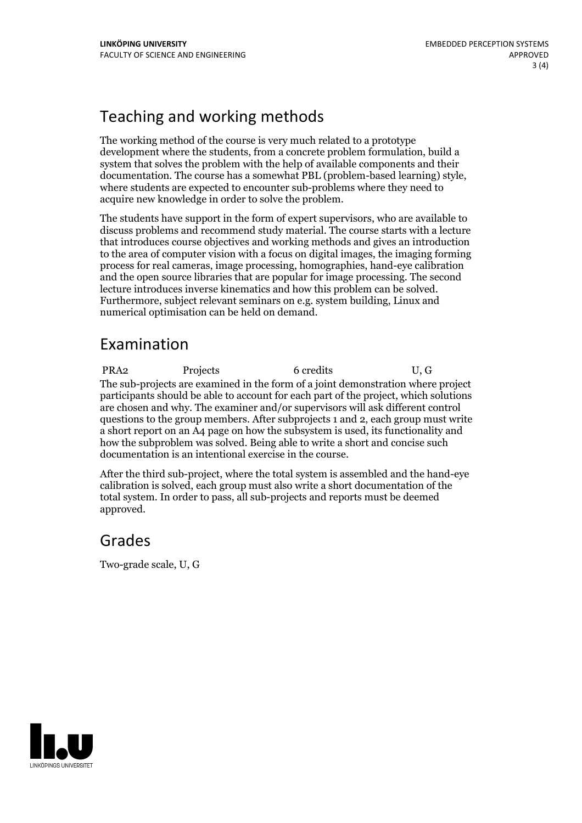# Teaching and working methods

The working method of the course is very much related to a prototype development where the students, from a concrete problem formulation, build a system that solves the problem with the help of available components and their documentation. The course has <sup>a</sup> somewhat PBL (problem-based learning) style, where students are expected to encounter sub-problems where they need to acquire new knowledge in order to solve the problem.

The students have support in the form of expert supervisors, who are available to discuss problems and recommend study material. The course starts with a lecture that introduces course objectives and working methods and gives an introduction to the area of computer vision with a focus on digital images, the imaging forming process for real cameras, image processing, homographies, hand-eye calibration and the open source libraries that are popular for image processing. The second lecture introduces inverse kinematics and how this problem can be solved. Furthermore, subject relevant seminars on e.g. system building, Linux and numerical optimisation can be held on demand.

### Examination

PRA2 Projects 6 credits U, G The sub-projects are examined in the form of a joint demonstration where project participants should be able to account for each part of the project, which solutions are chosen and why. The examiner and/or supervisors will ask different control questions to the group members. After subprojects 1 and 2, each group must write a short report on an A4 page on how the subsystem is used, its functionality and how the subproblem was solved. Being able to write a short and concise such documentation is an intentional exercise in the course.

After the third sub-project, where the total system is assembled and the hand-eye calibration is solved, each group must also write a short documentation of the total system. In order to pass, all sub-projects and reports must be deemed approved.

# Grades

Two-grade scale, U, G